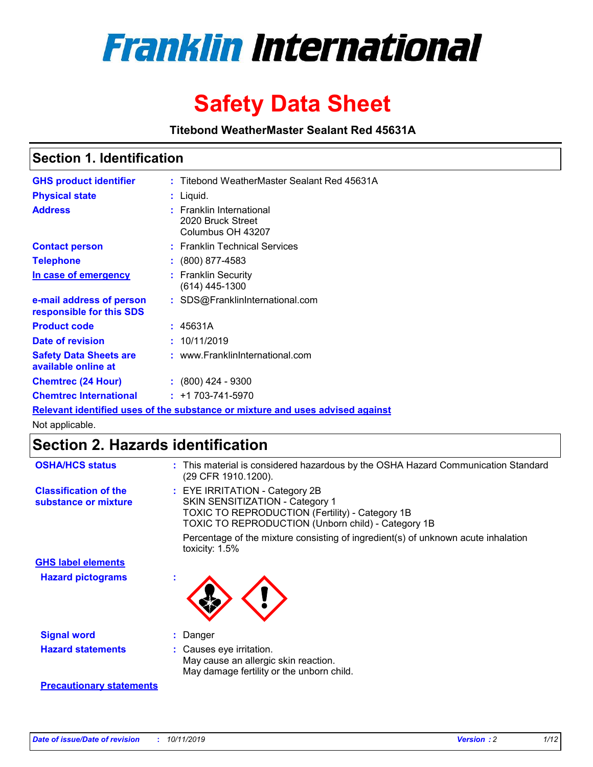

# **Safety Data Sheet**

**Titebond WeatherMaster Sealant Red 45631A**

### **Section 1. Identification**

| <b>GHS product identifier</b>                        | : Titebond WeatherMaster Sealant Red 45631A                                   |
|------------------------------------------------------|-------------------------------------------------------------------------------|
| <b>Physical state</b>                                | : Liquid.                                                                     |
| <b>Address</b>                                       | : Franklin International<br>2020 Bruck Street<br>Columbus OH 43207            |
| <b>Contact person</b>                                | : Franklin Technical Services                                                 |
| <b>Telephone</b>                                     | $\div$ (800) 877-4583                                                         |
| In case of emergency                                 | : Franklin Security<br>(614) 445-1300                                         |
| e-mail address of person<br>responsible for this SDS | : SDS@FranklinInternational.com                                               |
| <b>Product code</b>                                  | : 45631A                                                                      |
| Date of revision                                     | : 10/11/2019                                                                  |
| <b>Safety Data Sheets are</b><br>available online at | : www.FranklinInternational.com                                               |
| <b>Chemtrec (24 Hour)</b>                            | $\div$ (800) 424 - 9300                                                       |
| <b>Chemtrec International</b>                        | $: +1703 - 741 - 5970$                                                        |
|                                                      | Relevant identified uses of the substance or mixture and uses advised against |

Not applicable.

## **Section 2. Hazards identification**

| <b>OSHA/HCS status</b>                               | : This material is considered hazardous by the OSHA Hazard Communication Standard<br>(29 CFR 1910.1200).                                                                                 |
|------------------------------------------------------|------------------------------------------------------------------------------------------------------------------------------------------------------------------------------------------|
| <b>Classification of the</b><br>substance or mixture | : EYE IRRITATION - Category 2B<br>SKIN SENSITIZATION - Category 1<br><b>TOXIC TO REPRODUCTION (Fertility) - Category 1B</b><br><b>TOXIC TO REPRODUCTION (Unborn child) - Category 1B</b> |
|                                                      | Percentage of the mixture consisting of ingredient(s) of unknown acute inhalation<br>toxicity: $1.5\%$                                                                                   |
| <b>GHS label elements</b>                            |                                                                                                                                                                                          |
| <b>Hazard pictograms</b>                             |                                                                                                                                                                                          |
| <b>Signal word</b>                                   | : Danger                                                                                                                                                                                 |
| <b>Hazard statements</b>                             | : Causes eye irritation.<br>May cause an allergic skin reaction.<br>May damage fertility or the unborn child.                                                                            |
| <b>Precautionary statements</b>                      |                                                                                                                                                                                          |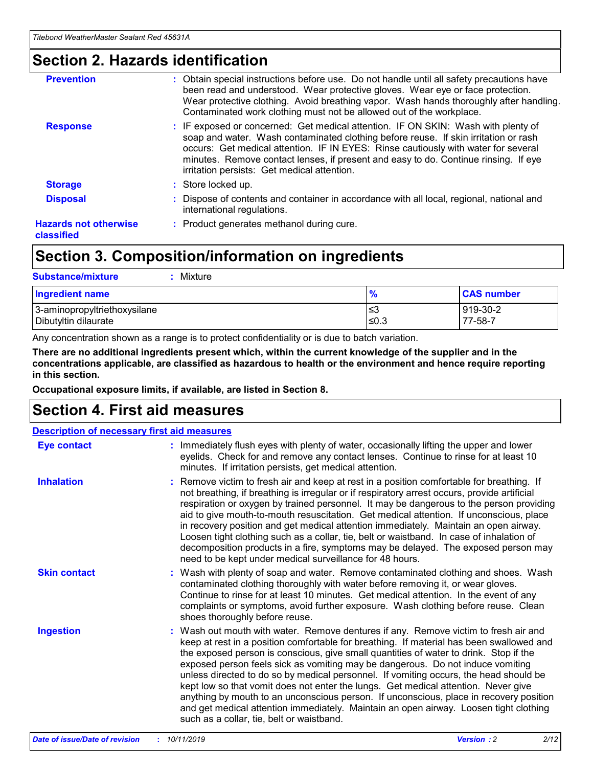### **Section 2. Hazards identification**

| <b>Prevention</b>                          | : Obtain special instructions before use. Do not handle until all safety precautions have<br>been read and understood. Wear protective gloves. Wear eye or face protection.<br>Wear protective clothing. Avoid breathing vapor. Wash hands thoroughly after handling.<br>Contaminated work clothing must not be allowed out of the workplace.                                                        |
|--------------------------------------------|------------------------------------------------------------------------------------------------------------------------------------------------------------------------------------------------------------------------------------------------------------------------------------------------------------------------------------------------------------------------------------------------------|
| <b>Response</b>                            | : IF exposed or concerned: Get medical attention. IF ON SKIN: Wash with plenty of<br>soap and water. Wash contaminated clothing before reuse. If skin irritation or rash<br>occurs: Get medical attention. IF IN EYES: Rinse cautiously with water for several<br>minutes. Remove contact lenses, if present and easy to do. Continue rinsing. If eye<br>irritation persists: Get medical attention. |
| <b>Storage</b>                             | : Store locked up.                                                                                                                                                                                                                                                                                                                                                                                   |
| <b>Disposal</b>                            | : Dispose of contents and container in accordance with all local, regional, national and<br>international regulations.                                                                                                                                                                                                                                                                               |
| <b>Hazards not otherwise</b><br>classified | : Product generates methanol during cure.                                                                                                                                                                                                                                                                                                                                                            |
|                                            |                                                                                                                                                                                                                                                                                                                                                                                                      |

### **Section 3. Composition/information on ingredients**

| <b>Substance/mixture</b><br>Mixture                  |                   |                     |
|------------------------------------------------------|-------------------|---------------------|
| Ingredient name                                      | $\frac{9}{6}$     | <b>CAS number</b>   |
| 3-aminopropyltriethoxysilane<br>Dibutyltin dilaurate | l≤3<br>$\leq 0.3$ | 919-30-2<br>77-58-7 |

Any concentration shown as a range is to protect confidentiality or is due to batch variation.

**There are no additional ingredients present which, within the current knowledge of the supplier and in the concentrations applicable, are classified as hazardous to health or the environment and hence require reporting in this section.**

**Occupational exposure limits, if available, are listed in Section 8.**

### **Section 4. First aid measures**

| <b>Description of necessary first aid measures</b> |                                                                                                                                                                                                                                                                                                                                                                                                                                                                                                                                                                                                                                                                                                                                                                           |  |  |  |
|----------------------------------------------------|---------------------------------------------------------------------------------------------------------------------------------------------------------------------------------------------------------------------------------------------------------------------------------------------------------------------------------------------------------------------------------------------------------------------------------------------------------------------------------------------------------------------------------------------------------------------------------------------------------------------------------------------------------------------------------------------------------------------------------------------------------------------------|--|--|--|
| <b>Eye contact</b>                                 | : Immediately flush eyes with plenty of water, occasionally lifting the upper and lower<br>eyelids. Check for and remove any contact lenses. Continue to rinse for at least 10<br>minutes. If irritation persists, get medical attention.                                                                                                                                                                                                                                                                                                                                                                                                                                                                                                                                 |  |  |  |
| <b>Inhalation</b>                                  | : Remove victim to fresh air and keep at rest in a position comfortable for breathing. If<br>not breathing, if breathing is irregular or if respiratory arrest occurs, provide artificial<br>respiration or oxygen by trained personnel. It may be dangerous to the person providing<br>aid to give mouth-to-mouth resuscitation. Get medical attention. If unconscious, place<br>in recovery position and get medical attention immediately. Maintain an open airway.<br>Loosen tight clothing such as a collar, tie, belt or waistband. In case of inhalation of<br>decomposition products in a fire, symptoms may be delayed. The exposed person may<br>need to be kept under medical surveillance for 48 hours.                                                       |  |  |  |
| <b>Skin contact</b>                                | : Wash with plenty of soap and water. Remove contaminated clothing and shoes. Wash<br>contaminated clothing thoroughly with water before removing it, or wear gloves.<br>Continue to rinse for at least 10 minutes. Get medical attention. In the event of any<br>complaints or symptoms, avoid further exposure. Wash clothing before reuse. Clean<br>shoes thoroughly before reuse.                                                                                                                                                                                                                                                                                                                                                                                     |  |  |  |
| <b>Ingestion</b>                                   | : Wash out mouth with water. Remove dentures if any. Remove victim to fresh air and<br>keep at rest in a position comfortable for breathing. If material has been swallowed and<br>the exposed person is conscious, give small quantities of water to drink. Stop if the<br>exposed person feels sick as vomiting may be dangerous. Do not induce vomiting<br>unless directed to do so by medical personnel. If vomiting occurs, the head should be<br>kept low so that vomit does not enter the lungs. Get medical attention. Never give<br>anything by mouth to an unconscious person. If unconscious, place in recovery position<br>and get medical attention immediately. Maintain an open airway. Loosen tight clothing<br>such as a collar, tie, belt or waistband. |  |  |  |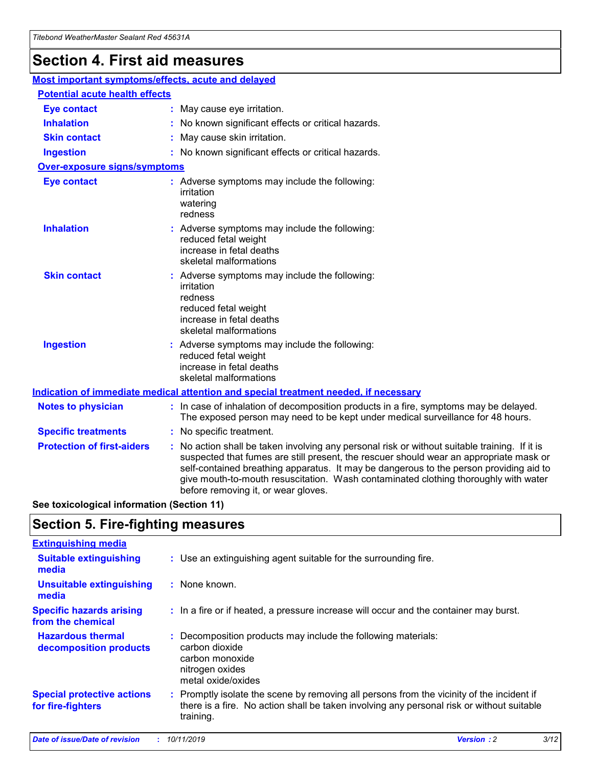## **Section 4. First aid measures**

| Most important symptoms/effects, acute and delayed |  |                                                                                                                                                                                                                                                                                                                                                                                                                 |  |
|----------------------------------------------------|--|-----------------------------------------------------------------------------------------------------------------------------------------------------------------------------------------------------------------------------------------------------------------------------------------------------------------------------------------------------------------------------------------------------------------|--|
| <b>Potential acute health effects</b>              |  |                                                                                                                                                                                                                                                                                                                                                                                                                 |  |
| <b>Eye contact</b>                                 |  | : May cause eye irritation.                                                                                                                                                                                                                                                                                                                                                                                     |  |
| <b>Inhalation</b>                                  |  | : No known significant effects or critical hazards.                                                                                                                                                                                                                                                                                                                                                             |  |
| <b>Skin contact</b>                                |  | : May cause skin irritation.                                                                                                                                                                                                                                                                                                                                                                                    |  |
| <b>Ingestion</b>                                   |  | : No known significant effects or critical hazards.                                                                                                                                                                                                                                                                                                                                                             |  |
| Over-exposure signs/symptoms                       |  |                                                                                                                                                                                                                                                                                                                                                                                                                 |  |
| <b>Eye contact</b>                                 |  | : Adverse symptoms may include the following:<br>irritation<br>watering<br>redness                                                                                                                                                                                                                                                                                                                              |  |
| <b>Inhalation</b>                                  |  | : Adverse symptoms may include the following:<br>reduced fetal weight<br>increase in fetal deaths<br>skeletal malformations                                                                                                                                                                                                                                                                                     |  |
| <b>Skin contact</b>                                |  | : Adverse symptoms may include the following:<br>irritation<br>redness<br>reduced fetal weight<br>increase in fetal deaths<br>skeletal malformations                                                                                                                                                                                                                                                            |  |
| <b>Ingestion</b>                                   |  | : Adverse symptoms may include the following:<br>reduced fetal weight<br>increase in fetal deaths<br>skeletal malformations                                                                                                                                                                                                                                                                                     |  |
|                                                    |  | <b>Indication of immediate medical attention and special treatment needed, if necessary</b>                                                                                                                                                                                                                                                                                                                     |  |
| <b>Notes to physician</b>                          |  | : In case of inhalation of decomposition products in a fire, symptoms may be delayed.<br>The exposed person may need to be kept under medical surveillance for 48 hours.                                                                                                                                                                                                                                        |  |
| <b>Specific treatments</b>                         |  | : No specific treatment.                                                                                                                                                                                                                                                                                                                                                                                        |  |
| <b>Protection of first-aiders</b>                  |  | : No action shall be taken involving any personal risk or without suitable training. If it is<br>suspected that fumes are still present, the rescuer should wear an appropriate mask or<br>self-contained breathing apparatus. It may be dangerous to the person providing aid to<br>give mouth-to-mouth resuscitation. Wash contaminated clothing thoroughly with water<br>before removing it, or wear gloves. |  |

**See toxicological information (Section 11)**

### **Section 5. Fire-fighting measures**

| <b>Extinguishing media</b>                             |                                                                                                                                                                                                     |
|--------------------------------------------------------|-----------------------------------------------------------------------------------------------------------------------------------------------------------------------------------------------------|
| <b>Suitable extinguishing</b><br>media                 | : Use an extinguishing agent suitable for the surrounding fire.                                                                                                                                     |
| <b>Unsuitable extinguishing</b><br>media               | : None known.                                                                                                                                                                                       |
| <b>Specific hazards arising</b><br>from the chemical   | : In a fire or if heated, a pressure increase will occur and the container may burst.                                                                                                               |
| <b>Hazardous thermal</b><br>decomposition products     | : Decomposition products may include the following materials:<br>carbon dioxide<br>carbon monoxide<br>nitrogen oxides<br>metal oxide/oxides                                                         |
| <b>Special protective actions</b><br>for fire-fighters | : Promptly isolate the scene by removing all persons from the vicinity of the incident if<br>there is a fire. No action shall be taken involving any personal risk or without suitable<br>training. |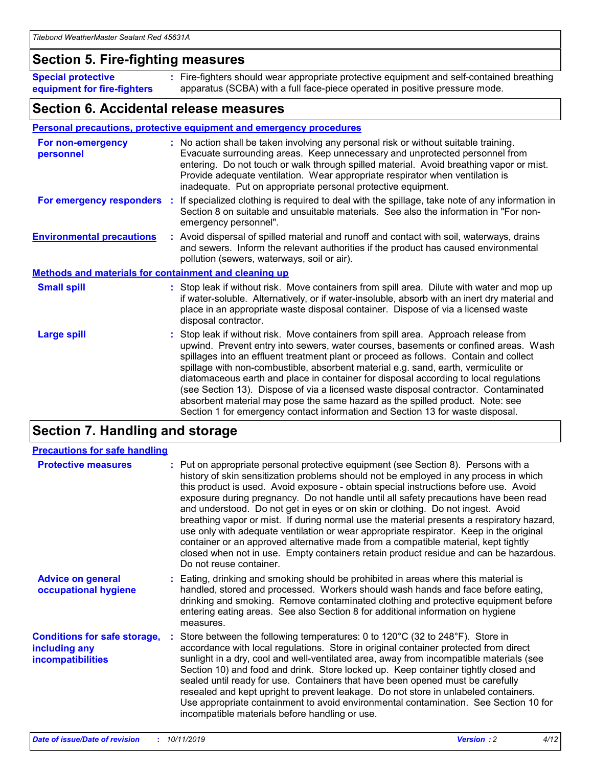### **Section 5. Fire-fighting measures**

**Special protective equipment for fire-fighters** Fire-fighters should wear appropriate protective equipment and self-contained breathing **:** apparatus (SCBA) with a full face-piece operated in positive pressure mode.

### **Section 6. Accidental release measures**

#### **Personal precautions, protective equipment and emergency procedures**

| For non-emergency<br>personnel                               | : No action shall be taken involving any personal risk or without suitable training.<br>Evacuate surrounding areas. Keep unnecessary and unprotected personnel from<br>entering. Do not touch or walk through spilled material. Avoid breathing vapor or mist.<br>Provide adequate ventilation. Wear appropriate respirator when ventilation is<br>inadequate. Put on appropriate personal protective equipment.                                                                                                                                                                                                                                                                                             |
|--------------------------------------------------------------|--------------------------------------------------------------------------------------------------------------------------------------------------------------------------------------------------------------------------------------------------------------------------------------------------------------------------------------------------------------------------------------------------------------------------------------------------------------------------------------------------------------------------------------------------------------------------------------------------------------------------------------------------------------------------------------------------------------|
|                                                              | For emergency responders : If specialized clothing is required to deal with the spillage, take note of any information in<br>Section 8 on suitable and unsuitable materials. See also the information in "For non-<br>emergency personnel".                                                                                                                                                                                                                                                                                                                                                                                                                                                                  |
| <b>Environmental precautions</b>                             | : Avoid dispersal of spilled material and runoff and contact with soil, waterways, drains<br>and sewers. Inform the relevant authorities if the product has caused environmental<br>pollution (sewers, waterways, soil or air).                                                                                                                                                                                                                                                                                                                                                                                                                                                                              |
| <b>Methods and materials for containment and cleaning up</b> |                                                                                                                                                                                                                                                                                                                                                                                                                                                                                                                                                                                                                                                                                                              |
| <b>Small spill</b>                                           | : Stop leak if without risk. Move containers from spill area. Dilute with water and mop up<br>if water-soluble. Alternatively, or if water-insoluble, absorb with an inert dry material and<br>place in an appropriate waste disposal container. Dispose of via a licensed waste<br>disposal contractor.                                                                                                                                                                                                                                                                                                                                                                                                     |
| <b>Large spill</b>                                           | : Stop leak if without risk. Move containers from spill area. Approach release from<br>upwind. Prevent entry into sewers, water courses, basements or confined areas. Wash<br>spillages into an effluent treatment plant or proceed as follows. Contain and collect<br>spillage with non-combustible, absorbent material e.g. sand, earth, vermiculite or<br>diatomaceous earth and place in container for disposal according to local regulations<br>(see Section 13). Dispose of via a licensed waste disposal contractor. Contaminated<br>absorbent material may pose the same hazard as the spilled product. Note: see<br>Section 1 for emergency contact information and Section 13 for waste disposal. |

### **Section 7. Handling and storage**

| <b>Precautions for safe handling</b>                                             |                                                                                                                                                                                                                                                                                                                                                                                                                                                                                                                                                                                                                                                                                                                                                                                                                                                  |
|----------------------------------------------------------------------------------|--------------------------------------------------------------------------------------------------------------------------------------------------------------------------------------------------------------------------------------------------------------------------------------------------------------------------------------------------------------------------------------------------------------------------------------------------------------------------------------------------------------------------------------------------------------------------------------------------------------------------------------------------------------------------------------------------------------------------------------------------------------------------------------------------------------------------------------------------|
| <b>Protective measures</b>                                                       | : Put on appropriate personal protective equipment (see Section 8). Persons with a<br>history of skin sensitization problems should not be employed in any process in which<br>this product is used. Avoid exposure - obtain special instructions before use. Avoid<br>exposure during pregnancy. Do not handle until all safety precautions have been read<br>and understood. Do not get in eyes or on skin or clothing. Do not ingest. Avoid<br>breathing vapor or mist. If during normal use the material presents a respiratory hazard,<br>use only with adequate ventilation or wear appropriate respirator. Keep in the original<br>container or an approved alternative made from a compatible material, kept tightly<br>closed when not in use. Empty containers retain product residue and can be hazardous.<br>Do not reuse container. |
| <b>Advice on general</b><br>occupational hygiene                                 | : Eating, drinking and smoking should be prohibited in areas where this material is<br>handled, stored and processed. Workers should wash hands and face before eating,<br>drinking and smoking. Remove contaminated clothing and protective equipment before<br>entering eating areas. See also Section 8 for additional information on hygiene<br>measures.                                                                                                                                                                                                                                                                                                                                                                                                                                                                                    |
| <b>Conditions for safe storage,</b><br>including any<br><b>incompatibilities</b> | Store between the following temperatures: 0 to $120^{\circ}$ C (32 to $248^{\circ}$ F). Store in<br>accordance with local regulations. Store in original container protected from direct<br>sunlight in a dry, cool and well-ventilated area, away from incompatible materials (see<br>Section 10) and food and drink. Store locked up. Keep container tightly closed and<br>sealed until ready for use. Containers that have been opened must be carefully<br>resealed and kept upright to prevent leakage. Do not store in unlabeled containers.<br>Use appropriate containment to avoid environmental contamination. See Section 10 for<br>incompatible materials before handling or use.                                                                                                                                                     |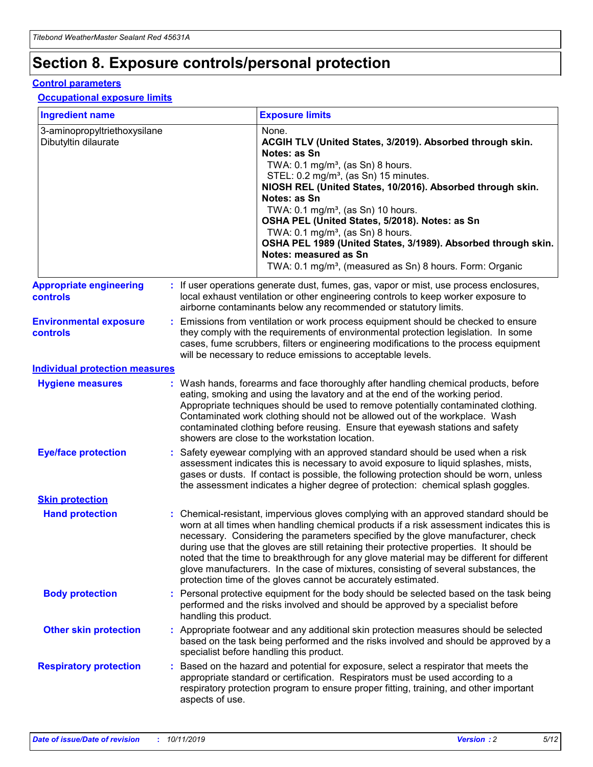## **Section 8. Exposure controls/personal protection**

#### **Control parameters**

#### **Occupational exposure limits**

| <b>Ingredient name</b>                               |    |                        | <b>Exposure limits</b>                                                                                                                                                                                                                                                                                                                                                                                                                                                                                                                                                                                                 |
|------------------------------------------------------|----|------------------------|------------------------------------------------------------------------------------------------------------------------------------------------------------------------------------------------------------------------------------------------------------------------------------------------------------------------------------------------------------------------------------------------------------------------------------------------------------------------------------------------------------------------------------------------------------------------------------------------------------------------|
| 3-aminopropyltriethoxysilane<br>Dibutyltin dilaurate |    |                        | None.<br>ACGIH TLV (United States, 3/2019). Absorbed through skin.<br>Notes: as Sn<br>TWA: $0.1 \text{ mg/m}^3$ , (as Sn) 8 hours.<br>STEL: 0.2 mg/m <sup>3</sup> , (as Sn) 15 minutes.<br>NIOSH REL (United States, 10/2016). Absorbed through skin.<br>Notes: as Sn<br>TWA: 0.1 mg/m <sup>3</sup> , (as Sn) 10 hours.<br>OSHA PEL (United States, 5/2018). Notes: as Sn<br>TWA: $0.1 \text{ mg/m}^3$ , (as Sn) 8 hours.<br>OSHA PEL 1989 (United States, 3/1989). Absorbed through skin.<br>Notes: measured as Sn<br>TWA: 0.1 mg/m <sup>3</sup> , (measured as Sn) 8 hours. Form: Organic                            |
| <b>Appropriate engineering</b><br>controls           |    |                        | : If user operations generate dust, fumes, gas, vapor or mist, use process enclosures,<br>local exhaust ventilation or other engineering controls to keep worker exposure to<br>airborne contaminants below any recommended or statutory limits.                                                                                                                                                                                                                                                                                                                                                                       |
| <b>Environmental exposure</b><br>controls            |    |                        | Emissions from ventilation or work process equipment should be checked to ensure<br>they comply with the requirements of environmental protection legislation. In some<br>cases, fume scrubbers, filters or engineering modifications to the process equipment<br>will be necessary to reduce emissions to acceptable levels.                                                                                                                                                                                                                                                                                          |
| <b>Individual protection measures</b>                |    |                        |                                                                                                                                                                                                                                                                                                                                                                                                                                                                                                                                                                                                                        |
| <b>Hygiene measures</b>                              |    |                        | : Wash hands, forearms and face thoroughly after handling chemical products, before<br>eating, smoking and using the lavatory and at the end of the working period.<br>Appropriate techniques should be used to remove potentially contaminated clothing.<br>Contaminated work clothing should not be allowed out of the workplace. Wash<br>contaminated clothing before reusing. Ensure that eyewash stations and safety<br>showers are close to the workstation location.                                                                                                                                            |
| <b>Eye/face protection</b>                           |    |                        | : Safety eyewear complying with an approved standard should be used when a risk<br>assessment indicates this is necessary to avoid exposure to liquid splashes, mists,<br>gases or dusts. If contact is possible, the following protection should be worn, unless<br>the assessment indicates a higher degree of protection: chemical splash goggles.                                                                                                                                                                                                                                                                  |
| <b>Skin protection</b>                               |    |                        |                                                                                                                                                                                                                                                                                                                                                                                                                                                                                                                                                                                                                        |
| <b>Hand protection</b>                               |    |                        | : Chemical-resistant, impervious gloves complying with an approved standard should be<br>worn at all times when handling chemical products if a risk assessment indicates this is<br>necessary. Considering the parameters specified by the glove manufacturer, check<br>during use that the gloves are still retaining their protective properties. It should be<br>noted that the time to breakthrough for any glove material may be different for different<br>glove manufacturers. In the case of mixtures, consisting of several substances, the<br>protection time of the gloves cannot be accurately estimated. |
| <b>Body protection</b>                               |    | handling this product. | Personal protective equipment for the body should be selected based on the task being<br>performed and the risks involved and should be approved by a specialist before                                                                                                                                                                                                                                                                                                                                                                                                                                                |
| <b>Other skin protection</b>                         |    |                        | : Appropriate footwear and any additional skin protection measures should be selected<br>based on the task being performed and the risks involved and should be approved by a<br>specialist before handling this product.                                                                                                                                                                                                                                                                                                                                                                                              |
| <b>Respiratory protection</b>                        | ÷. | aspects of use.        | Based on the hazard and potential for exposure, select a respirator that meets the<br>appropriate standard or certification. Respirators must be used according to a<br>respiratory protection program to ensure proper fitting, training, and other important                                                                                                                                                                                                                                                                                                                                                         |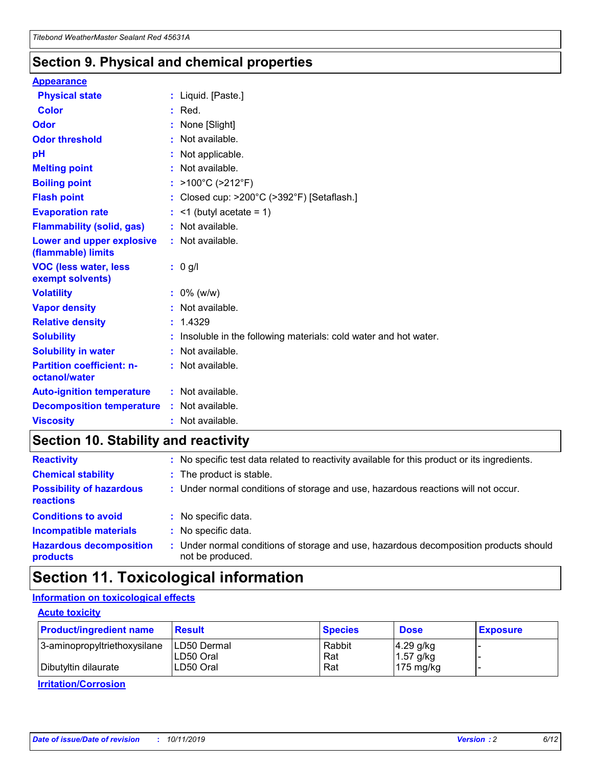### **Section 9. Physical and chemical properties**

#### **Appearance**

| <b>Physical state</b>                             | : Liquid. [Paste.]                                              |
|---------------------------------------------------|-----------------------------------------------------------------|
| <b>Color</b>                                      | $:$ Red.                                                        |
| Odor                                              | : None [Slight]                                                 |
| <b>Odor threshold</b>                             | $:$ Not available.                                              |
| рH                                                | : Not applicable.                                               |
| <b>Melting point</b>                              | : Not available.                                                |
| <b>Boiling point</b>                              | : $>100^{\circ}$ C ( $>212^{\circ}$ F)                          |
| <b>Flash point</b>                                | Closed cup: >200°C (>392°F) [Setaflash.]                        |
| <b>Evaporation rate</b>                           | $:$ <1 (butyl acetate = 1)                                      |
| <b>Flammability (solid, gas)</b>                  | : Not available.                                                |
| Lower and upper explosive<br>(flammable) limits   | : Not available.                                                |
| <b>VOC (less water, less)</b><br>exempt solvents) | : 0 g/l                                                         |
| <b>Volatility</b>                                 | $: 0\%$ (w/w)                                                   |
| <b>Vapor density</b>                              | : Not available.                                                |
| <b>Relative density</b>                           | : 1.4329                                                        |
| <b>Solubility</b>                                 | Insoluble in the following materials: cold water and hot water. |
| <b>Solubility in water</b>                        | : Not available.                                                |
| <b>Partition coefficient: n-</b><br>octanol/water | $:$ Not available.                                              |
| <b>Auto-ignition temperature</b>                  | : Not available.                                                |
|                                                   |                                                                 |
| <b>Decomposition temperature</b>                  | : Not available.                                                |

### **Section 10. Stability and reactivity**

| <b>Reactivity</b>                            | : No specific test data related to reactivity available for this product or its ingredients.            |
|----------------------------------------------|---------------------------------------------------------------------------------------------------------|
| <b>Chemical stability</b>                    | : The product is stable.                                                                                |
| <b>Possibility of hazardous</b><br>reactions | : Under normal conditions of storage and use, hazardous reactions will not occur.                       |
| <b>Conditions to avoid</b>                   | : No specific data.                                                                                     |
| <b>Incompatible materials</b>                | : No specific data.                                                                                     |
| <b>Hazardous decomposition</b><br>products   | Under normal conditions of storage and use, hazardous decomposition products should<br>not be produced. |

## **Section 11. Toxicological information**

### **Information on toxicological effects**

#### **Acute toxicity**

| <b>Product/ingredient name</b> | <b>Result</b>           | <b>Species</b> | <b>Dose</b>                | <b>Exposure</b> |
|--------------------------------|-------------------------|----------------|----------------------------|-----------------|
| 3-aminopropyltriethoxysilane   | <b>ILD50 Dermal</b>     | Rabbit         | 4.29 g/kg                  |                 |
| Dibutyltin dilaurate           | ILD50 Oral<br>LD50 Oral | Rat<br>Rat     | $1.57$ g/kg<br>175 $mg/kg$ |                 |
|                                |                         |                |                            |                 |

**Irritation/Corrosion**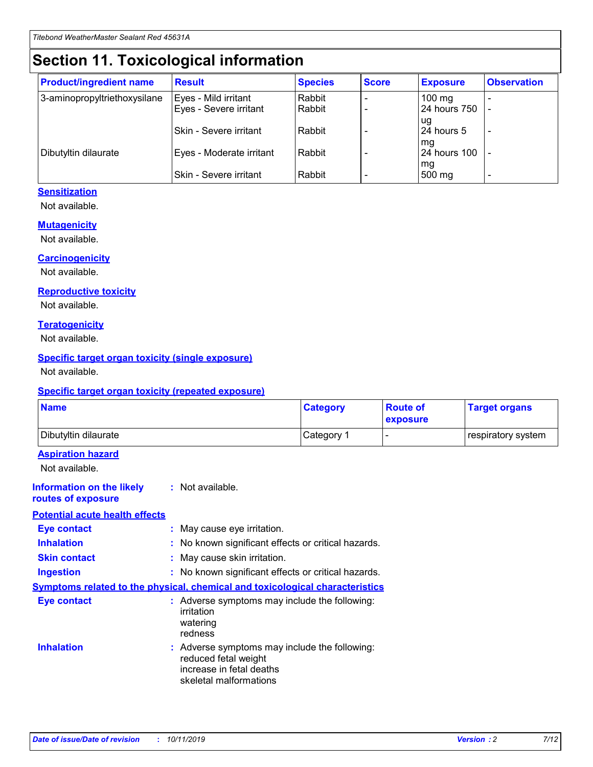## **Section 11. Toxicological information**

| <b>Product/ingredient name</b> | <b>Result</b>                 | <b>Species</b> | <b>Score</b> | <b>Exposure</b>    | <b>Observation</b> |
|--------------------------------|-------------------------------|----------------|--------------|--------------------|--------------------|
| 3-aminopropyltriethoxysilane   | Eyes - Mild irritant          | Rabbit         |              | $100 \text{ mg}$   |                    |
|                                | Eyes - Severe irritant        | Rabbit         |              | 24 hours 750       |                    |
|                                |                               |                |              | ug                 |                    |
|                                | <b>Skin - Severe irritant</b> | Rabbit         |              | 24 hours 5         | -                  |
| Dibutyltin dilaurate           | Eyes - Moderate irritant      | Rabbit         |              | mq<br>24 hours 100 |                    |
|                                |                               |                |              | mg                 |                    |
|                                | Skin - Severe irritant        | Rabbit         |              | 500 mg             |                    |

#### **Sensitization**

Not available.

#### **Mutagenicity**

Not available.

#### **Carcinogenicity**

Not available.

#### **Reproductive toxicity**

Not available.

#### **Teratogenicity**

Not available.

#### **Specific target organ toxicity (single exposure)**

Not available.

#### **Specific target organ toxicity (repeated exposure)**

| <b>Name</b>                                                                  |                                                                                                                             | <b>Category</b> | <b>Route of</b><br>exposure  | <b>Target organs</b> |
|------------------------------------------------------------------------------|-----------------------------------------------------------------------------------------------------------------------------|-----------------|------------------------------|----------------------|
| Dibutyltin dilaurate                                                         |                                                                                                                             | Category 1      | $\qquad \qquad \blacksquare$ | respiratory system   |
| <b>Aspiration hazard</b><br>Not available.                                   |                                                                                                                             |                 |                              |                      |
| <b>Information on the likely</b><br>routes of exposure                       | : Not available.                                                                                                            |                 |                              |                      |
| <b>Potential acute health effects</b>                                        |                                                                                                                             |                 |                              |                      |
| <b>Eye contact</b>                                                           | : May cause eye irritation.                                                                                                 |                 |                              |                      |
| <b>Inhalation</b>                                                            | : No known significant effects or critical hazards.                                                                         |                 |                              |                      |
| <b>Skin contact</b>                                                          | : May cause skin irritation.                                                                                                |                 |                              |                      |
| <b>Ingestion</b>                                                             | : No known significant effects or critical hazards.                                                                         |                 |                              |                      |
| Symptoms related to the physical, chemical and toxicological characteristics |                                                                                                                             |                 |                              |                      |
| <b>Eye contact</b>                                                           | : Adverse symptoms may include the following:<br>irritation<br>watering<br>redness                                          |                 |                              |                      |
| <b>Inhalation</b>                                                            | : Adverse symptoms may include the following:<br>reduced fetal weight<br>increase in fetal deaths<br>skeletal malformations |                 |                              |                      |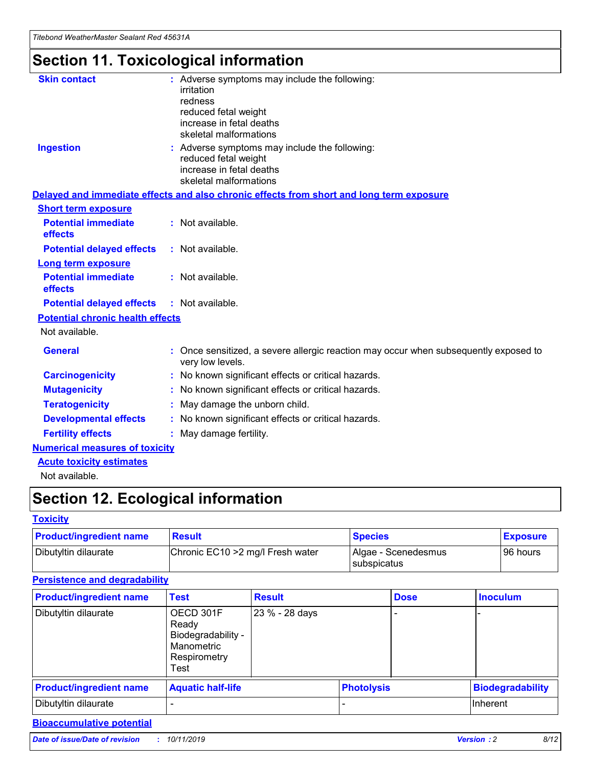## **Section 11. Toxicological information**

| <b>Skin contact</b>                     | : Adverse symptoms may include the following:<br>irritation<br>redness<br>reduced fetal weight<br>increase in fetal deaths<br>skeletal malformations |
|-----------------------------------------|------------------------------------------------------------------------------------------------------------------------------------------------------|
| <b>Ingestion</b>                        | : Adverse symptoms may include the following:<br>reduced fetal weight<br>increase in fetal deaths<br>skeletal malformations                          |
|                                         | Delayed and immediate effects and also chronic effects from short and long term exposure                                                             |
| <b>Short term exposure</b>              |                                                                                                                                                      |
| <b>Potential immediate</b><br>effects   | : Not available.                                                                                                                                     |
| <b>Potential delayed effects</b>        | : Not available.                                                                                                                                     |
| <b>Long term exposure</b>               |                                                                                                                                                      |
| <b>Potential immediate</b><br>effects   | : Not available.                                                                                                                                     |
| <b>Potential delayed effects</b>        | : Not available.                                                                                                                                     |
| <b>Potential chronic health effects</b> |                                                                                                                                                      |
| Not available.                          |                                                                                                                                                      |
| <b>General</b>                          | : Once sensitized, a severe allergic reaction may occur when subsequently exposed to<br>very low levels.                                             |
| <b>Carcinogenicity</b>                  | : No known significant effects or critical hazards.                                                                                                  |
| <b>Mutagenicity</b>                     | No known significant effects or critical hazards.                                                                                                    |
| <b>Teratogenicity</b>                   | May damage the unborn child.                                                                                                                         |
| <b>Developmental effects</b>            | No known significant effects or critical hazards.                                                                                                    |
| <b>Fertility effects</b>                | : May damage fertility.                                                                                                                              |
| <b>Numerical measures of toxicity</b>   |                                                                                                                                                      |
| <b>Acute toxicity estimates</b>         |                                                                                                                                                      |
|                                         |                                                                                                                                                      |

Not available.

## **Section 12. Ecological information**

#### **Toxicity**

| <b>Product/ingredient name</b> | <b>Result</b>                     | <b>Species</b>                       | <b>Exposure</b> |
|--------------------------------|-----------------------------------|--------------------------------------|-----------------|
| Dibutyltin dilaurate           | Chronic EC10 > 2 mg/l Fresh water | Algae - Scenedesmus<br>I subspicatus | l 96 hours      |

### **Persistence and degradability**

| <b>Product/ingredient name</b> | <b>Test</b>                                                                    | <b>Result</b>  |                   | <b>Dose</b> | <b>Inoculum</b>         |
|--------------------------------|--------------------------------------------------------------------------------|----------------|-------------------|-------------|-------------------------|
| Dibutyltin dilaurate           | OECD 301F<br>Ready<br>Biodegradability -<br>Manometric<br>Respirometry<br>Test | 23 % - 28 days |                   |             |                         |
| <b>Product/ingredient name</b> | <b>Aquatic half-life</b>                                                       |                | <b>Photolysis</b> |             | <b>Biodegradability</b> |
| Dibutyltin dilaurate           |                                                                                |                |                   |             | Inherent                |

### **Bioaccumulative potential**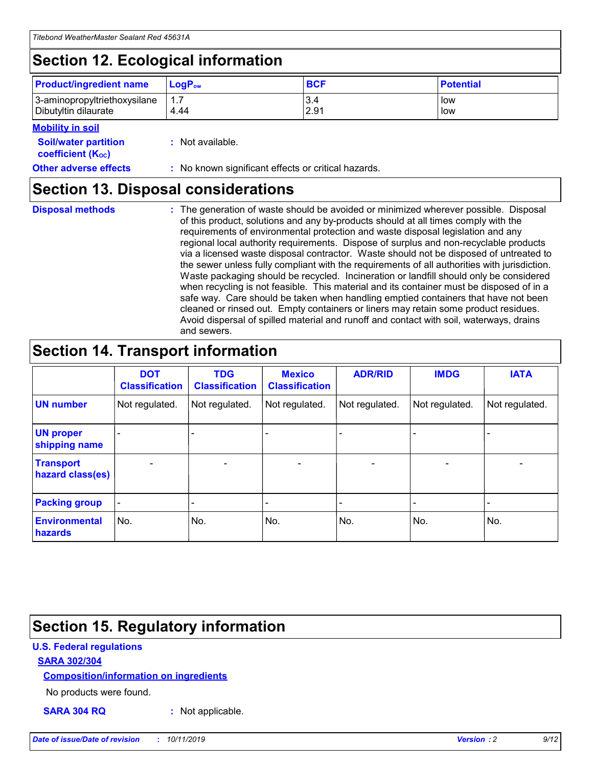## **Section 12. Ecological information**

| <b>Product/ingredient name</b> | $LoaPow$ | <b>BCF</b> | <b>Potential</b> |
|--------------------------------|----------|------------|------------------|
| 3-aminopropyltriethoxysilane   | 1.7      | 3.4        | low              |
| Dibutyltin dilaurate           | 4.44     | 2.91       | low              |

#### **Mobility in soil**

| <b>Soil/water partition</b><br>coefficient (K <sub>oc</sub> ) | : Not available.                                    |
|---------------------------------------------------------------|-----------------------------------------------------|
| <b>Other adverse effects</b>                                  | : No known significant effects or critical hazards. |

### **Section 13. Disposal considerations**

**Disposal methods :**

The generation of waste should be avoided or minimized wherever possible. Disposal of this product, solutions and any by-products should at all times comply with the requirements of environmental protection and waste disposal legislation and any regional local authority requirements. Dispose of surplus and non-recyclable products via a licensed waste disposal contractor. Waste should not be disposed of untreated to the sewer unless fully compliant with the requirements of all authorities with jurisdiction. Waste packaging should be recycled. Incineration or landfill should only be considered when recycling is not feasible. This material and its container must be disposed of in a safe way. Care should be taken when handling emptied containers that have not been cleaned or rinsed out. Empty containers or liners may retain some product residues. Avoid dispersal of spilled material and runoff and contact with soil, waterways, drains and sewers.

## **Section 14. Transport information**

|                                      | <b>DOT</b><br><b>Classification</b> | <b>TDG</b><br><b>Classification</b> | <b>Mexico</b><br><b>Classification</b> | <b>ADR/RID</b>           | <b>IMDG</b>              | <b>IATA</b>              |
|--------------------------------------|-------------------------------------|-------------------------------------|----------------------------------------|--------------------------|--------------------------|--------------------------|
| <b>UN number</b>                     | Not regulated.                      | Not regulated.                      | Not regulated.                         | Not regulated.           | Not regulated.           | Not regulated.           |
| <b>UN proper</b><br>shipping name    | $\qquad \qquad \blacksquare$        |                                     |                                        |                          |                          |                          |
| <b>Transport</b><br>hazard class(es) | $\blacksquare$                      | $\blacksquare$                      | $\blacksquare$                         | $\overline{\phantom{a}}$ | $\blacksquare$           | $\blacksquare$           |
| <b>Packing group</b>                 | $\overline{\phantom{a}}$            | $\overline{\phantom{0}}$            | $\qquad \qquad \blacksquare$           | -                        | $\overline{\phantom{0}}$ | $\overline{\phantom{a}}$ |
| <b>Environmental</b><br>hazards      | No.                                 | No.                                 | No.                                    | No.                      | No.                      | No.                      |

## **Section 15. Regulatory information**

#### **U.S. Federal regulations**

#### **SARA 302/304**

#### **Composition/information on ingredients**

No products were found.

**SARA 304 RQ :** Not applicable.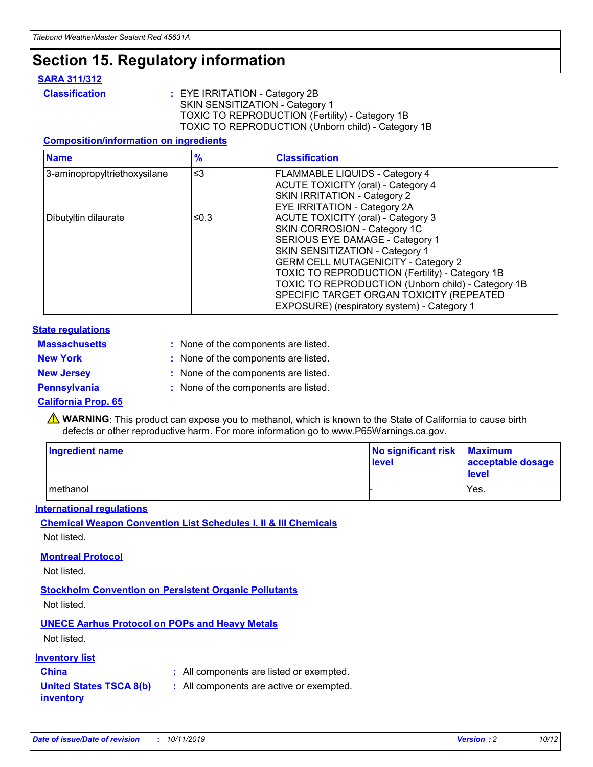## **Section 15. Regulatory information**

#### **SARA 311/312**

**Classification :** EYE IRRITATION - Category 2B SKIN SENSITIZATION - Category 1 TOXIC TO REPRODUCTION (Fertility) - Category 1B TOXIC TO REPRODUCTION (Unborn child) - Category 1B

#### **Composition/information on ingredients**

| <b>Name</b>                  | $\frac{9}{6}$ | <b>Classification</b>                                                                                            |
|------------------------------|---------------|------------------------------------------------------------------------------------------------------------------|
| 3-aminopropyltriethoxysilane | $\leq$ 3      | <b>FLAMMABLE LIQUIDS - Category 4</b><br><b>ACUTE TOXICITY (oral) - Category 4</b>                               |
|                              |               | SKIN IRRITATION - Category 2<br>EYE IRRITATION - Category 2A                                                     |
| Dibutyltin dilaurate         | ≤0.3          | ACUTE TOXICITY (oral) - Category 3<br>SKIN CORROSION - Category 1C                                               |
|                              |               | SERIOUS EYE DAMAGE - Category 1<br>SKIN SENSITIZATION - Category 1<br><b>GERM CELL MUTAGENICITY - Category 2</b> |
|                              |               | TOXIC TO REPRODUCTION (Fertility) - Category 1B<br>TOXIC TO REPRODUCTION (Unborn child) - Category 1B            |
|                              |               | SPECIFIC TARGET ORGAN TOXICITY (REPEATED<br>EXPOSURE) (respiratory system) - Category 1                          |

#### **State regulations**

| <b>Massachusetts</b> | : None of the components are listed. |
|----------------------|--------------------------------------|
| <b>New York</b>      | : None of the components are listed. |
| <b>New Jersey</b>    | : None of the components are listed. |
| <b>Pennsylvania</b>  | : None of the components are listed. |

#### **California Prop. 65**

**A** WARNING: This product can expose you to methanol, which is known to the State of California to cause birth defects or other reproductive harm. For more information go to www.P65Warnings.ca.gov.

| <b>Ingredient name</b> | No significant risk Maximum<br>level | acceptable dosage<br>level |
|------------------------|--------------------------------------|----------------------------|
| methanol               |                                      | Yes.                       |

#### **International regulations**

**Chemical Weapon Convention List Schedules I, II & III Chemicals** Not listed.

#### **Montreal Protocol**

Not listed.

**Stockholm Convention on Persistent Organic Pollutants**

Not listed.

### **UNECE Aarhus Protocol on POPs and Heavy Metals**

Not listed.

#### **Inventory list**

### **China :** All components are listed or exempted.

**United States TSCA 8(b) inventory :** All components are active or exempted.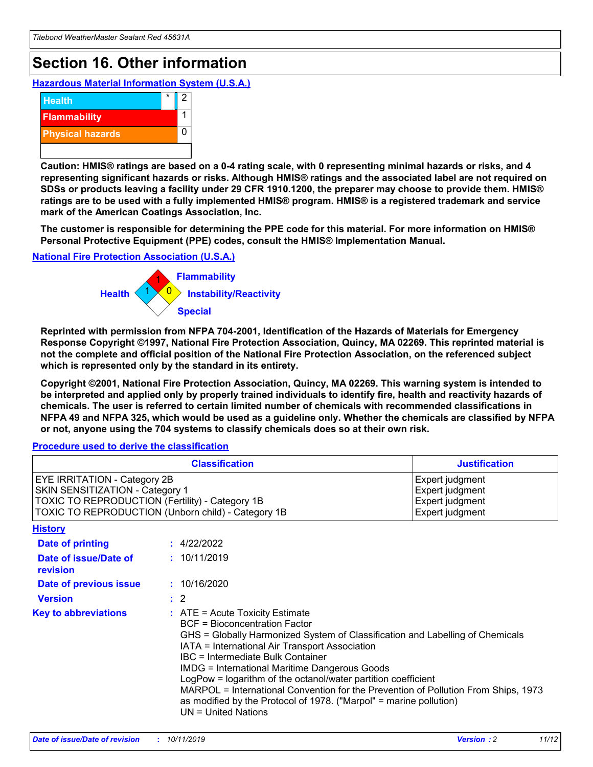## **Section 16. Other information**

**Hazardous Material Information System (U.S.A.)**



**Caution: HMIS® ratings are based on a 0-4 rating scale, with 0 representing minimal hazards or risks, and 4 representing significant hazards or risks. Although HMIS® ratings and the associated label are not required on SDSs or products leaving a facility under 29 CFR 1910.1200, the preparer may choose to provide them. HMIS® ratings are to be used with a fully implemented HMIS® program. HMIS® is a registered trademark and service mark of the American Coatings Association, Inc.**

**The customer is responsible for determining the PPE code for this material. For more information on HMIS® Personal Protective Equipment (PPE) codes, consult the HMIS® Implementation Manual.**

#### **National Fire Protection Association (U.S.A.)**



**Reprinted with permission from NFPA 704-2001, Identification of the Hazards of Materials for Emergency Response Copyright ©1997, National Fire Protection Association, Quincy, MA 02269. This reprinted material is not the complete and official position of the National Fire Protection Association, on the referenced subject which is represented only by the standard in its entirety.**

**Copyright ©2001, National Fire Protection Association, Quincy, MA 02269. This warning system is intended to be interpreted and applied only by properly trained individuals to identify fire, health and reactivity hazards of chemicals. The user is referred to certain limited number of chemicals with recommended classifications in NFPA 49 and NFPA 325, which would be used as a guideline only. Whether the chemicals are classified by NFPA or not, anyone using the 704 systems to classify chemicals does so at their own risk.**

#### **Procedure used to derive the classification**

| <b>Classification</b>                                                                                                                                                                  |                                                                                                                                                                                                                                                                   | <b>Justification</b>                                                                                                                                                                                                                                                                                       |  |
|----------------------------------------------------------------------------------------------------------------------------------------------------------------------------------------|-------------------------------------------------------------------------------------------------------------------------------------------------------------------------------------------------------------------------------------------------------------------|------------------------------------------------------------------------------------------------------------------------------------------------------------------------------------------------------------------------------------------------------------------------------------------------------------|--|
| <b>EYE IRRITATION - Category 2B</b><br>SKIN SENSITIZATION - Category 1<br><b>TOXIC TO REPRODUCTION (Fertility) - Category 1B</b><br>TOXIC TO REPRODUCTION (Unborn child) - Category 1B |                                                                                                                                                                                                                                                                   | Expert judgment<br>Expert judgment<br>Expert judgment<br>Expert judgment                                                                                                                                                                                                                                   |  |
| <b>History</b>                                                                                                                                                                         |                                                                                                                                                                                                                                                                   |                                                                                                                                                                                                                                                                                                            |  |
| <b>Date of printing</b>                                                                                                                                                                | : 4/22/2022                                                                                                                                                                                                                                                       |                                                                                                                                                                                                                                                                                                            |  |
| Date of issue/Date of<br>revision                                                                                                                                                      | : 10/11/2019                                                                                                                                                                                                                                                      |                                                                                                                                                                                                                                                                                                            |  |
| Date of previous issue                                                                                                                                                                 | : 10/16/2020                                                                                                                                                                                                                                                      |                                                                                                                                                                                                                                                                                                            |  |
| <b>Version</b>                                                                                                                                                                         | $\therefore$ 2                                                                                                                                                                                                                                                    |                                                                                                                                                                                                                                                                                                            |  |
| <b>Key to abbreviations</b>                                                                                                                                                            | $\therefore$ ATE = Acute Toxicity Estimate<br><b>BCF</b> = Bioconcentration Factor<br>IATA = International Air Transport Association<br><b>IBC</b> = Intermediate Bulk Container<br><b>IMDG = International Maritime Dangerous Goods</b><br>$UN = United Nations$ | GHS = Globally Harmonized System of Classification and Labelling of Chemicals<br>LogPow = logarithm of the octanol/water partition coefficient<br>MARPOL = International Convention for the Prevention of Pollution From Ships, 1973<br>as modified by the Protocol of 1978. ("Marpol" = marine pollution) |  |